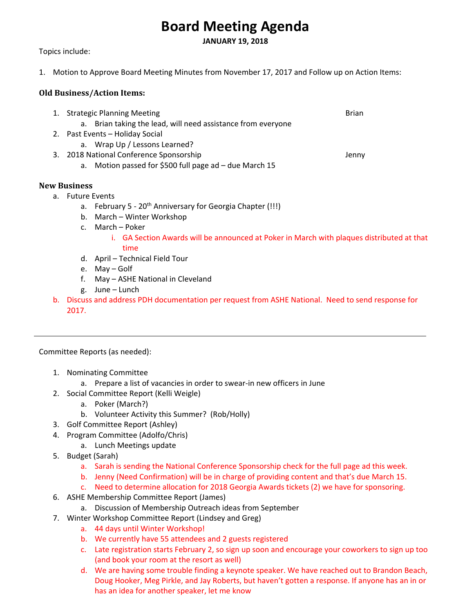# **Board Meeting Agenda**

**JANUARY 19, 2018** 

Topics include:

1. Motion to Approve Board Meeting Minutes from November 17, 2017 and Follow up on Action Items:

## **Old Business/Action Items:**

| 1. Strategic Planning Meeting                                | <b>Brian</b> |
|--------------------------------------------------------------|--------------|
| a. Brian taking the lead, will need assistance from everyone |              |
| 2. Past Events - Holiday Social                              |              |
| a. Wrap Up / Lessons Learned?                                |              |
| 3. 2018 National Conference Sponsorship                      | Jenny        |
| Motion passed for \$500 full page ad - due March 15<br>а.    |              |

## **New Business**

- a. Future Events
	- a. February 5 20<sup>th</sup> Anniversary for Georgia Chapter (!!!)
	- b. March Winter Workshop
	- c. March Poker
		- i. GA Section Awards will be announced at Poker in March with plaques distributed at that time
	- d. April Technical Field Tour
	- e. May Golf
	- f. May ASHE National in Cleveland
	- g. June Lunch
- b. Discuss and address PDH documentation per request from ASHE National. Need to send response for 2017.

Committee Reports (as needed):

- 1. Nominating Committee
	- a. Prepare a list of vacancies in order to swear‐in new officers in June
- 2. Social Committee Report (Kelli Weigle)
	- a. Poker (March?)
	- b. Volunteer Activity this Summer? (Rob/Holly)
- 3. Golf Committee Report (Ashley)
- 4. Program Committee (Adolfo/Chris)
	- a. Lunch Meetings update
- 5. Budget (Sarah)
	- a. Sarah is sending the National Conference Sponsorship check for the full page ad this week.
	- b. Jenny (Need Confirmation) will be in charge of providing content and that's due March 15.
	- c. Need to determine allocation for 2018 Georgia Awards tickets (2) we have for sponsoring.
- 6. ASHE Membership Committee Report (James)
	- a. Discussion of Membership Outreach ideas from September
- 7. Winter Workshop Committee Report (Lindsey and Greg)
	- a. 44 days until Winter Workshop!
	- b. We currently have 55 attendees and 2 guests registered
	- c. Late registration starts February 2, so sign up soon and encourage your coworkers to sign up too (and book your room at the resort as well)
	- d. We are having some trouble finding a keynote speaker. We have reached out to Brandon Beach, Doug Hooker, Meg Pirkle, and Jay Roberts, but haven't gotten a response. If anyone has an in or has an idea for another speaker, let me know